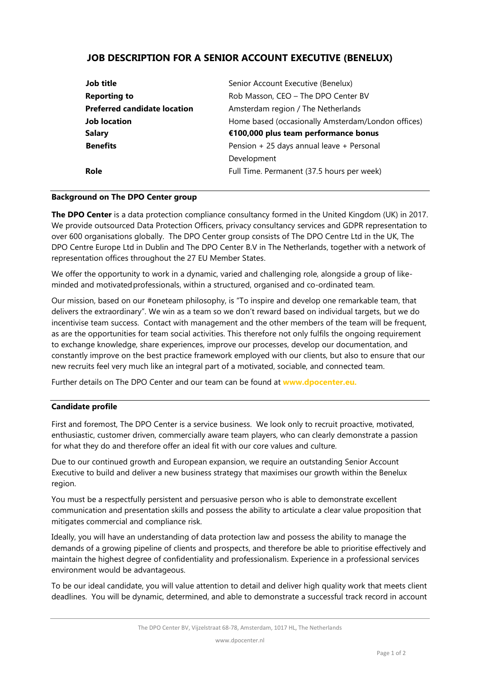# **JOB DESCRIPTION FOR A SENIOR ACCOUNT EXECUTIVE (BENELUX)**

| Senior Account Executive (Benelux)                 |
|----------------------------------------------------|
| Rob Masson, CEO - The DPO Center BV                |
| Amsterdam region / The Netherlands                 |
| Home based (occasionally Amsterdam/London offices) |
| €100,000 plus team performance bonus               |
| Pension + 25 days annual leave + Personal          |
| Development                                        |
| Full Time. Permanent (37.5 hours per week)         |
|                                                    |

### **Background on The DPO Center group**

**The DPO Center** is a data protection compliance consultancy formed in the United Kingdom (UK) in 2017. We provide outsourced Data Protection Officers, privacy consultancy services and GDPR representation to over 600 organisations globally. The DPO Center group consists of The DPO Centre Ltd in the UK, The DPO Centre Europe Ltd in Dublin and The DPO Center B.V in The Netherlands, together with a network of representation offices throughout the 27 EU Member States.

We offer the opportunity to work in a dynamic, varied and challenging role, alongside a group of likeminded and motivatedprofessionals, within a structured, organised and co-ordinated team.

Our mission, based on our #oneteam philosophy, is "To inspire and develop one remarkable team, that delivers the extraordinary". We win as a team so we don't reward based on individual targets, but we do incentivise team success. Contact with management and the other members of the team will be frequent, as are the opportunities for team social activities. This therefore not only fulfils the ongoing requirement to exchange knowledge, share experiences, improve our processes, develop our documentation, and constantly improve on the best practice framework employed with our clients, but also to ensure that our new recruits feel very much like an integral part of a motivated, sociable, and connected team.

Further details on The DPO Center and our team can be found at **[www.dpocenter.eu.](http://www.dpocenter.eu./)**

# **Candidate profile**

First and foremost, The DPO Center is a service business. We look only to recruit proactive, motivated, enthusiastic, customer driven, commercially aware team players, who can clearly demonstrate a passion for what they do and therefore offer an ideal fit with our core values and culture.

Due to our continued growth and European expansion, we require an outstanding Senior Account Executive to build and deliver a new business strategy that maximises our growth within the Benelux region.

You must be a respectfully persistent and persuasive person who is able to demonstrate excellent communication and presentation skills and possess the ability to articulate a clear value proposition that mitigates commercial and compliance risk.

Ideally, you will have an understanding of data protection law and possess the ability to manage the demands of a growing pipeline of clients and prospects, and therefore be able to prioritise effectively and maintain the highest degree of confidentiality and professionalism. Experience in a professional services environment would be advantageous.

To be our ideal candidate, you will value attention to detail and deliver high quality work that meets client deadlines. You will be dynamic, determined, and able to demonstrate a successful track record in account